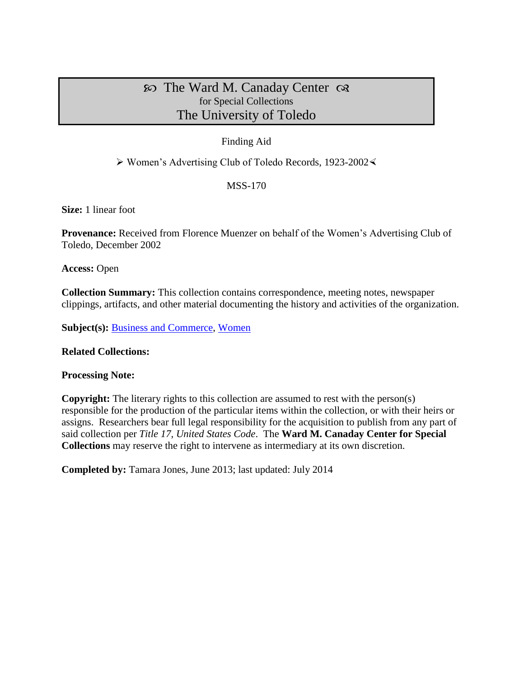# $\infty$  The Ward M. Canaday Center  $\infty$ for Special Collections The University of Toledo

### Finding Aid

 $\triangleright$  Women's Advertising Club of Toledo Records, 1923-2002 $\triangleleft$ 

## MSS-170

**Size:** 1 linear foot

**Provenance:** Received from Florence Muenzer on behalf of the Women's Advertising Club of Toledo, December 2002

**Access:** Open

**Collection Summary:** This collection contains correspondence, meeting notes, newspaper clippings, artifacts, and other material documenting the history and activities of the organization.

**Subject(s): [Business and Commerce,](http://www.utoledo.edu/library/canaday/guidepages/business.html) [Women](http://www.utoledo.edu/library/canaday/guidepages/women.html)** 

#### **Related Collections:**

#### **Processing Note:**

**Copyright:** The literary rights to this collection are assumed to rest with the person(s) responsible for the production of the particular items within the collection, or with their heirs or assigns. Researchers bear full legal responsibility for the acquisition to publish from any part of said collection per *Title 17, United States Code*. The **Ward M. Canaday Center for Special Collections** may reserve the right to intervene as intermediary at its own discretion.

**Completed by:** Tamara Jones, June 2013; last updated: July 2014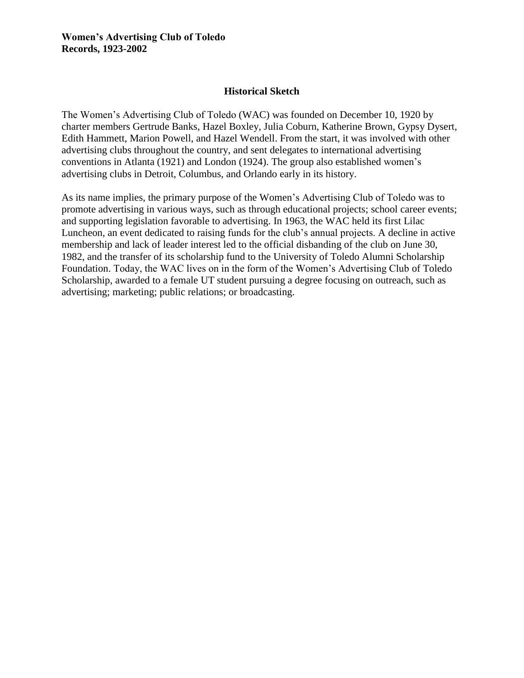### **Historical Sketch**

The Women's Advertising Club of Toledo (WAC) was founded on December 10, 1920 by charter members Gertrude Banks, Hazel Boxley, Julia Coburn, Katherine Brown, Gypsy Dysert, Edith Hammett, Marion Powell, and Hazel Wendell. From the start, it was involved with other advertising clubs throughout the country, and sent delegates to international advertising conventions in Atlanta (1921) and London (1924). The group also established women's advertising clubs in Detroit, Columbus, and Orlando early in its history.

As its name implies, the primary purpose of the Women's Advertising Club of Toledo was to promote advertising in various ways, such as through educational projects; school career events; and supporting legislation favorable to advertising. In 1963, the WAC held its first Lilac Luncheon, an event dedicated to raising funds for the club's annual projects. A decline in active membership and lack of leader interest led to the official disbanding of the club on June 30, 1982, and the transfer of its scholarship fund to the University of Toledo Alumni Scholarship Foundation. Today, the WAC lives on in the form of the Women's Advertising Club of Toledo Scholarship, awarded to a female UT student pursuing a degree focusing on outreach, such as advertising; marketing; public relations; or broadcasting.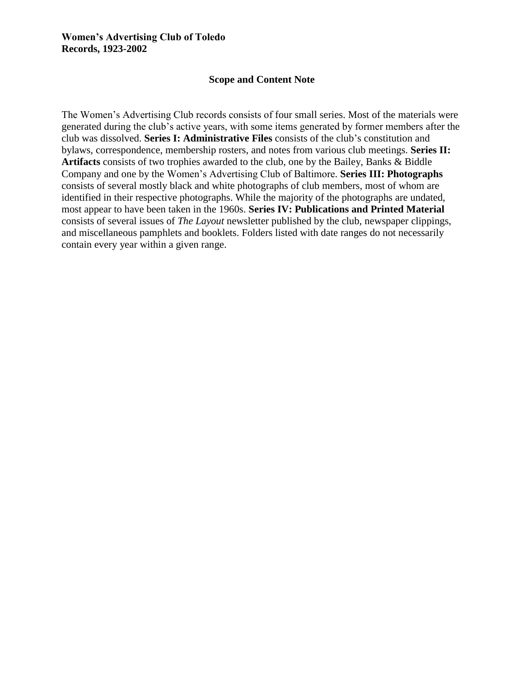### **Scope and Content Note**

The Women's Advertising Club records consists of four small series. Most of the materials were generated during the club's active years, with some items generated by former members after the club was dissolved. **Series I: Administrative Files** consists of the club's constitution and bylaws, correspondence, membership rosters, and notes from various club meetings. **Series II: Artifacts** consists of two trophies awarded to the club, one by the Bailey, Banks & Biddle Company and one by the Women's Advertising Club of Baltimore. **Series III: Photographs** consists of several mostly black and white photographs of club members, most of whom are identified in their respective photographs. While the majority of the photographs are undated, most appear to have been taken in the 1960s. **Series IV: Publications and Printed Material** consists of several issues of *The Layout* newsletter published by the club, newspaper clippings, and miscellaneous pamphlets and booklets. Folders listed with date ranges do not necessarily contain every year within a given range.